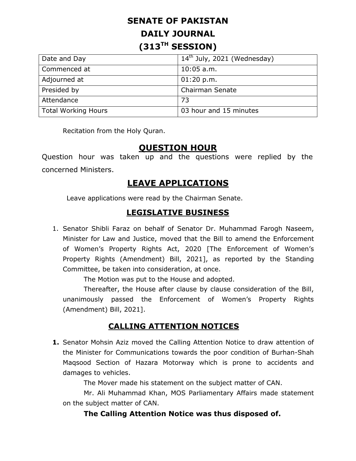# **SENATE OF PAKISTAN DAILY JOURNAL (313TH SESSION)**

| Date and Day               | $14th$ July, 2021 (Wednesday) |
|----------------------------|-------------------------------|
| Commenced at               | $10:05$ a.m.                  |
| Adjourned at               | 01:20 p.m.                    |
| Presided by                | <b>Chairman Senate</b>        |
| Attendance                 | 73                            |
| <b>Total Working Hours</b> | 03 hour and 15 minutes        |

Recitation from the Holy Quran.

## **QUESTION HOUR**

Question hour was taken up and the questions were replied by the concerned Ministers.

# **LEAVE APPLICATIONS**

Leave applications were read by the Chairman Senate.

### **LEGISLATIVE BUSINESS**

1. Senator Shibli Faraz on behalf of Senator Dr. Muhammad Farogh Naseem, Minister for Law and Justice, moved that the Bill to amend the Enforcement of Women's Property Rights Act, 2020 [The Enforcement of Women's Property Rights (Amendment) Bill, 2021], as reported by the Standing Committee, be taken into consideration, at once.

The Motion was put to the House and adopted.

Thereafter, the House after clause by clause consideration of the Bill, unanimously passed the Enforcement of Women's Property Rights (Amendment) Bill, 2021].

# **CALLING ATTENTION NOTICES**

**1.** Senator Mohsin Aziz moved the Calling Attention Notice to draw attention of the Minister for Communications towards the poor condition of Burhan-Shah Maqsood Section of Hazara Motorway which is prone to accidents and damages to vehicles.

The Mover made his statement on the subject matter of CAN.

Mr. Ali Muhammad Khan, MOS Parliamentary Affairs made statement on the subject matter of CAN.

#### **The Calling Attention Notice was thus disposed of.**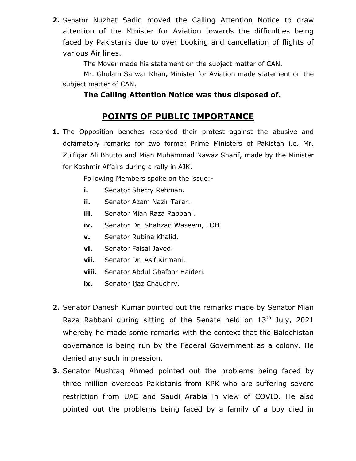**2.** Senator Nuzhat Sadiq moved the Calling Attention Notice to draw attention of the Minister for Aviation towards the difficulties being faced by Pakistanis due to over booking and cancellation of flights of various Air lines.

The Mover made his statement on the subject matter of CAN.

Mr. Ghulam Sarwar Khan, Minister for Aviation made statement on the subject matter of CAN.

### **The Calling Attention Notice was thus disposed of.**

# **POINTS OF PUBLIC IMPORTANCE**

**1.** The Opposition benches recorded their protest against the abusive and defamatory remarks for two former Prime Ministers of Pakistan i.e. Mr. Zulfiqar Ali Bhutto and Mian Muhammad Nawaz Sharif, made by the Minister for Kashmir Affairs during a rally in AJK.

Following Members spoke on the issue:-

- **i.** Senator Sherry Rehman.
- **ii.** Senator Azam Nazir Tarar.
- **iii.** Senator Mian Raza Rabbani.
- **iv.** Senator Dr. Shahzad Waseem, LOH.
- **v.** Senator Rubina Khalid.
- **vi.** Senator Faisal Javed.
- **vii.** Senator Dr. Asif Kirmani.
- **viii.** Senator Abdul Ghafoor Haideri.
- **ix.** Senator Ijaz Chaudhry.
- **2.** Senator Danesh Kumar pointed out the remarks made by Senator Mian Raza Rabbani during sitting of the Senate held on  $13<sup>th</sup>$  July, 2021 whereby he made some remarks with the context that the Balochistan governance is being run by the Federal Government as a colony. He denied any such impression.
- **3.** Senator Mushtaq Ahmed pointed out the problems being faced by three million overseas Pakistanis from KPK who are suffering severe restriction from UAE and Saudi Arabia in view of COVID. He also pointed out the problems being faced by a family of a boy died in